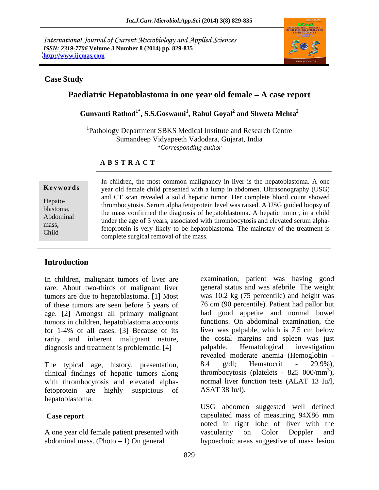International Journal of Current Microbiology and Applied Sciences *ISSN: 2319-7706* **Volume 3 Number 8 (2014) pp. 829-835 <http://www.ijcmas.com>**



### **Case Study**

# **Paediatric Hepatoblastoma in one year old female – A case report**

**Gunvanti Rathod1\* , S.S.Goswami<sup>1</sup> , Rahul Goyal<sup>2</sup> and Shweta Mehta2**

1Pathology Department SBKS Medical Institute and Research Centre Sumandeep Vidyapeeth Vadodara, Gujarat, India *\*Corresponding author* 

### **A B S T R A C T**

**Keywords** year old female child presented with a lump in abdomen. Ultrasonography (USG) Hepato-<br>thrombocytosis. Serum alpha fetoprotein level was raised. A USG guided biopsy of blastoma,<br>
the mass confirmed the diagnosis of hepatoblastoma. A hepatic tumor, in a child Abdominal<br>
under the age of 3 years, associated with thrombocytosis and elevated serum alphamass,<br>
fetoprotein is very likely to be hepatoblastoma. The mainstay of the treatment is Child complete envised removed of the mass. The manistay of the treatment is In children, the most common malignancy in liver is the hepatoblastoma. A one and CT scan revealed a solid hepatic tumor. Her complete blood count showed complete surgical removal of the mass.

# **Introduction**

rare. About two-thirds of malignant liver of these tumors are seen before 5 years of age. [2] Amongst all primary malignant tumors in children, hepatoblastoma accounts for 1-4% of all cases. [3] Because of its rarity and inherent malignant nature, the costal margins and spleen was just diagnosis and treatment is problematic. [4] palpable. Hematological investigation diagnosis and treatment is problematic. [4] palpable.

clinical findings of hepatic tumors along with thrombocytosis and elevated alphafetoprotein are highly suspicious of ASAT 38 Iu/l). hepatoblastoma.

abdominal mass. (Photo 1) On general hypoechoic areas suggestive of mass lesion

In children, malignant tumors of liver are examination, patient was having good tumors are due to hepatoblastoma. [1] Most was 10.2 kg (75 percentile) and height was The typical age, history, presentation, 8.4 g/dl; Hematocrit - 29.9%), general status and was afebrile. The weight 76 cm (90 percentile). Patient had pallor but had good appetite and normal bowel functions. On abdominal examination, the liver was palpable, which is 7.5 cm below the costal margins and spleen was just palpable. Hematological investigation revealed moderate anemia (Hemoglobin - 8.4 g/dl; Hematocrit - 29.9%), thrombocytosis (platelets -  $825 \, 000 \, \text{/mm}^3$ ),  $3<sub>1</sub>$ ), normal liver function tests (ALAT 13 Iu/l, ASAT 38 Iu/l).

**Case report** capsulated mass of measuring 94X86 mm A one year old female patient presented with vascularity on Color Doppler and USG abdomen suggested well defined noted in right lobe of liver with the vascularity on Color Doppler and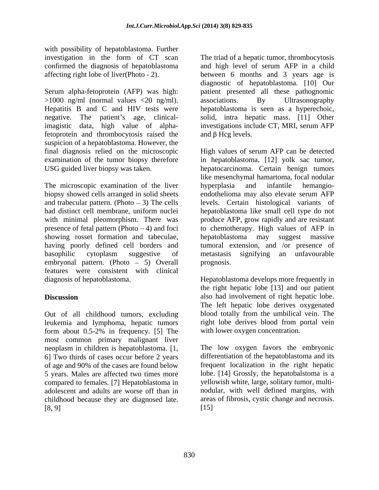with possibility of hepatoblastoma. Further

Serum alpha-fetoprotein (AFP) was high: patient presented all these pathognomic >1000 ng/ml (normal values <20 ng/ml). Hepatitis B and C and HIV tests were bepatoblastoma is seen as a hyperechoic, negative. The patient's age, clinical-<br>solid, intra hepatic mass. [11] Other negative. The patient's age, clinical-<br>solid, intra hepatic mass. [11] Other imagistic data, high value of alpha-investigations include CT, MRI, serum AFP fetoprotein and thrombocytosis raised the  $\qquad$  and  $\beta$  Hcg levels. suspicion of a hepatoblastoma. However, the

The microscopic examination of the liver by experimental and infantile hemangiobiopsy showed cells arranged in solid sheets showing rosset formation and tabeculae, bepatoblastoma may suggest massive embryonal pattern. (Photo  $-5$ ) Overall prognosis. features were consistent with clinical diagnosis of hepatoblastoma. Hepatoblastoma develops more frequently in

Out of all childhood tumors, excluding leukemia and lymphoma, hepatic tumors form about 0.5-2% in frequency. [5] The most common primary malignant liver neoplasm in children is hepatoblastoma. [1, 6] Two thirds of cases occur before 2 years of age and 90% of the cases are found below 5 years. Males are affected two times more compared to females. [7] Hepatoblastoma in childhood because they are diagnosed late.  $[8, 9]$   $[15]$ 

investigation in the form of CT scan The triad of a hepatic tumor, thrombocytosis confirmed the diagnosis of hepatoblastoma and high level of serum AFP in a child affecting right lobe of liver(Photo - 2). between 6 months and 3 years age is diagnostic of hepatoblastoma. [10] Our associations. By Ultrasonography hepatoblastoma is seen as a hyperechoic,<br>solid, intra hepatic mass. [11] Other and  $\beta$  Hcg levels.

final diagnosis relied on the microscopic High values of serum AFP can be detected examination of the tumor biopsy therefore in hepatoblastoma, [12] yolk sac tumor, USG guided liver biopsy was taken. hepatocarcinoma. Certain benign tumors and trabecular pattern. (Photo – 3) The cells levels. Certain histological variants of had distinct cell membrane, uniform nuclei hepatoblastoma like small cell type do not with minimal pleomorphism. There was produce AFP, grow rapidly and are resistant presence of fetal pattern (Photo  $-4$ ) and foci to chemotherapy. High values of AFP in having poorly defined cell borders and tumoral extension, and /or presence of basophilic cytoplasm suggestive of like mesenchymal hamartoma, focal nodular hyperplasia and infantile hemangio endothelioma may also elevate serum AFP hepatoblastoma may suggest massive metastasis signifying an unfavourable prognosis.

**Discussion** also had involvement of right hepatic lobe. the right hepatic lobe [13] and our patient The left hepatic lobe derives oxygenated blood totally from the umbilical vein. The right lobe derives blood from portal vein with lower oxygen concentration.

adolescent and adults are worse off than in nodular, with well defined margins, with The low oxygen favors the embryonic differentiation of the hepatoblastoma and its frequent localization in the right hepatic lobe. [14] Grossly, the hepatobalstoma is a yellowish white, large, solitary tumor, multi areas of fibrosis, cystic change and necrosis. [15]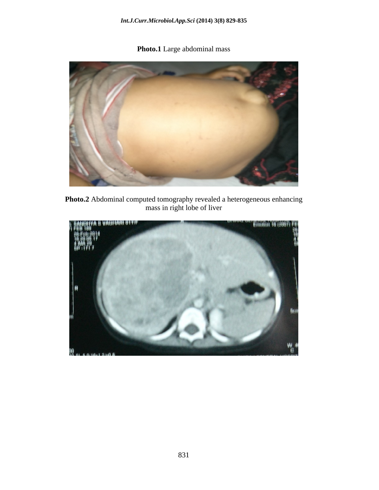**Photo.1** Large abdominal mass



**Photo.2** Abdominal computed tomography revealed a heterogeneous enhancing mass in right lobe of liver

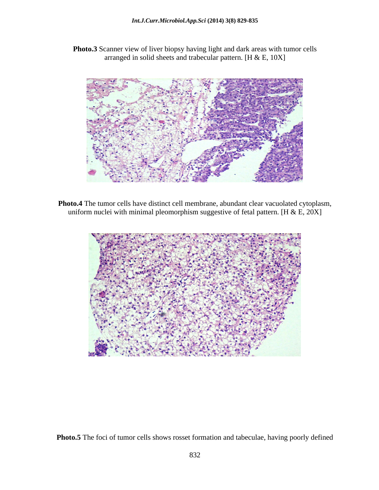**Photo.3** Scanner view of liver biopsy having light and dark areas with tumor cells arranged in solid sheets and trabecular pattern. [H & E, 10X]



**Photo.4** The tumor cells have distinct cell membrane, abundant clear vacuolated cytoplasm, uniform nuclei with minimal pleomorphism suggestive of fetal pattern. [H & E,  $20X$ ]



**Photo.5** The foci of tumor cells shows rosset formation and tabeculae, having poorly defined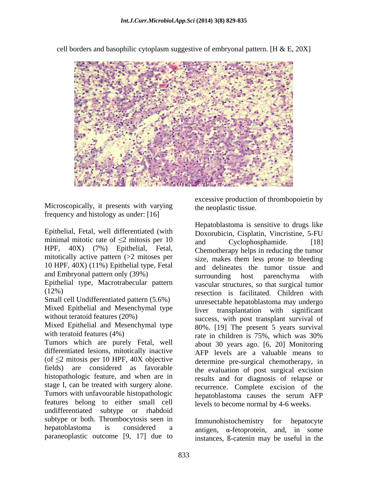

cell borders and basophilic cytoplasm suggestive of embryonal pattern. [H  $\&$  E, 20X]

Microscopically, it presents with varying frequency and histology as under: [16]

Epithelial, Fetal, well differentiated (with minimal mitotic rate of  $\leq$ 2 mitosis per 10 and Cyclophosphamide. [18] 10 HPF, 40X) (11%) Epithelial type, Fetal and Embryonal pattern only (39%) surrounding host parenchyma with

Epithelial type, Macrotrabecular pattern

Small cell Undifferentiated pattern (5.6%) Mixed Epithelial and Mesenchymal type

Mixed Epithelial and Mesenchymal type

Tumors which are purely Fetal, well differentiated lesions, mitotically inactive (of  $\leq$ 2 mitosis per 10 HPF, 40X objective fields) are considered as favorable the evaluation of post surgical excision histopathologic feature, and when are in stage I, can be treated with surgery alone. Tumors with unfavourable histopathologic features belong to either small cell undifferentiated subtype or rhabdoid subtype or both. Thrombocytosis seen in Immunohistochemistry for hepatocyte hepatoblastoma is considered a antigen,  $\alpha$ -fetoprotein, and, in some

excessive production of thrombopoietin by the neoplastic tissue.

HPF, 40X) (7%) Epithelial, Fetal, Chemotherapy helps in reducing the tumor mitotically active pattern (>2 mitoses per size, makes them less prone to bleeding (12%) resection is facilitated. Children with without teratoid features (20%) success, with post transplant survival of with teratoid features (4%)  $\qquad \qquad$  rate in children is 75%, which was 30% Hepatoblastoma is sensitive to drugs like Doxorubicin, Cisplatin, Vincristine, 5-FU and Cyclophosphamide. [18] and delineates the tumor tissue and surrounding host parenchyma with vascular structures, so that surgical tumor unresectable hepatoblastoma may undergo liver transplantation with significant 80%. [19] The present 5 years survival about 30 years ago. [6, 20] Monitoring AFP levels are a valuable means to determine pre-surgical chemotherapy, in results and for diagnosis of relapse or recurrence. Complete excision of the hepatoblastoma causes the serum AFP levels to become normal by 4-6 weeks.

paraneoplastic outcome [9, 17] due to instances, ß-catenin may be useful in theImmunohistochemistry for hepatocyte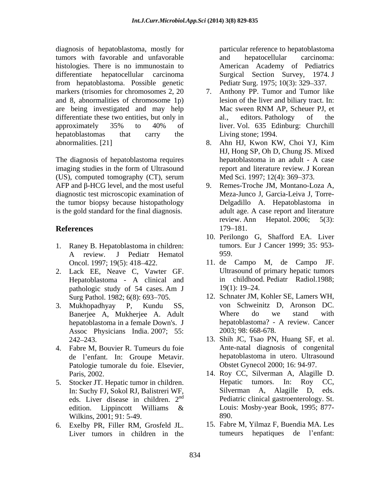diagnosis of hepatoblastoma, mostly for tumors with favorable and unfavorable histologies. There is no immunostain to differentiate hepatocellular carcinoma Surgical Section Survey, 1974. J from hepatoblastoma. Possible genetic markers (trisomies for chromosomes 2, 20 7. Anthony PP. Tumor and Tumor like and 8, abnormalities of chromosome 1p) lesion of the liver and biliary tract. In:<br>are being investigated and may help Mac sween RNM AP, Scheuer PJ, et are being investigated and may help differentiate these two entities, but only in al., editors. Pathology of the approximately 35% to 40% of hepatoblastomas that carry the Living stone; 1994. abnormalities. [21] 8. Ahn HJ, Kwon KW, Choi YJ, Kim

The diagnosis of hepatoblastoma requires behaviolastoma in an adult - A case imaging studies in the form of Ultrasound (US), computed tomography (CT), serum  $AFP$  and  $\beta$ -HCG level, and the most useful 9. Remes-Troche JM, Montano-Loza A, diagnostic test microscopic examination of the tumor biopsy because histopathology is the gold standard for the final diagnosis.

- 1. Raney B. Hepatoblastoma in children:
- 2. Lack EE, Neave C, Vawter GF. Hepatoblastoma - A clinical and
- Assoc Physicians India. 2007; 55:
- 4. Fabre M, Bouvier R. Tumeurs du foie de l'enfant. In: Groupe Metavir. Patologie tumorale du foie. Elsevier,
- eds. Liver disease in children. 2<sup>nd</sup> Wilkins, 2001; 91: 5-49. 890.
- 6. Exelby PR, Filler RM, Grosfeld JL. 15. Fabre M, Yilmaz F, Buendia MA. Les<br>Liver tumors in children in the tumeurs hepatiques de l'enfant: Liver tumors in children in the tumeurs

particular reference to hepatoblastoma and hepatocellular carcinoma: American Academy of Pediatrics Pediatr Surg. 1975; 10(3): 329–337.

- lesion of the liver and biliary tract. In: Mac sween RNM AP, Scheuer PJ, et al., editors. Pathology of the liver. Vol. 635 Edinburg: Churchill Living stone; 1994.
- HJ, Hong SP, Oh D, Chung JS. Mixed hepatoblastoma in an adult - A case report and literature review. J Korean Med Sci. 1997; 12(4): 369–373.
- **References** 179–181. Meza-Junco J, Garcia-Leiva J, Torre- Delgadillo A. Hepatoblastoma in adult age. A case report and literature review. Ann Hepatol. 2006; 5(3): 179–181.
	- A review. J Pediatr Hematol 10. Perilongo G, Shafford EA. Liver tumors. Eur J Cancer 1999; 35: 953- 959.
	- Oncol. 1997; 19(5): 418 422. 11. de Campo M, de Campo JF. pathologic study of 54 cases. Am J  $19(1)$ : 19–24. Ultrasound of primary hepatic tumors in childhood. Pediatr Radiol.1988;  $19(1)$ :  $19-24$ .
- Surg Pathol. 1982; 6(8): 693–705. 12. Schnater JM, Kohler SE, Lamers WH, 3. Mukhopadhyay P, Kundu SS, von Schweinitz D, Aronson DC. Banerjee A, Mukherjee A. Adult Where do we stand with hepatoblastoma in a female Down's. J hepatoblastoma? - A review. Cancer Where do we stand with hepatoblastoma? - A review. Cancer 2003; 98: 668-678.
	- 242 243. 13. Shih JC, Tsao PN, Huang SF, et al. Ante-natal diagnosis of congenital hepatoblastoma in utero. Ultrasound Obstet Gynecol 2000; 16: 94-97.
- Paris, 2002. 14. Roy CC, Silverman A, Alagille D. 5. Stocker JT. Hepatic tumor in children. Hepatic tumors. In: Roy CC, In: Suchy FJ, Sokol RJ, Balistreri WF, Silverman A, Alagille D, eds. nd Pediatric clinical gastroenterology. St. edition. Lippincott Williams & Louis: Mosby-year Book, 1995; 877-Hepatic tumors. In: Roy CC, Silverman A, Alagille D, Louis: Mosby-year Book, 1995; 877- 890.
	- 15. Fabre M, Yilmaz F, Buendia MA. Les tumeurs hepatiques de l'enfant: